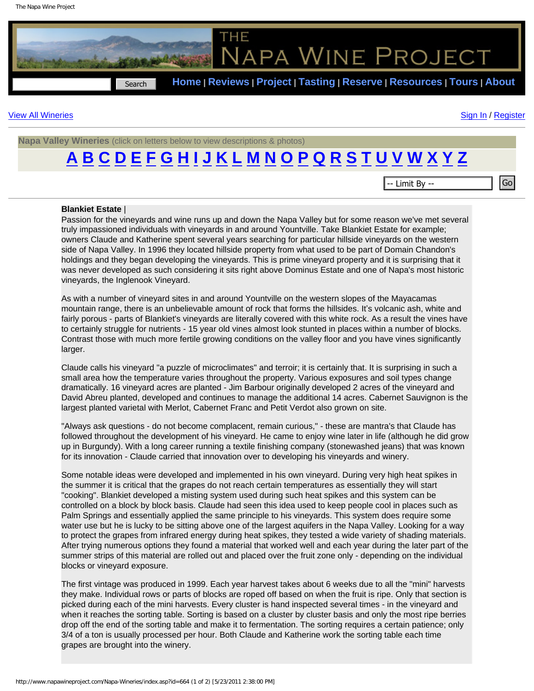

## [View All Wineries](http://www.napawineproject.com/Napa-Wineries/reviews.asp) [Sign In](http://www.napawineproject.com/login.asp) / [Register](http://www.napawineproject.com/register.asp)

**Napa Valley Wineries** (click on letters below to view descriptions & photos)

## **[A](http://www.napawineproject.com/Napa-Wineries/?ltr=a)[B](http://www.napawineproject.com/Napa-Wineries/?ltr=b)[C](http://www.napawineproject.com/Napa-Wineries/?ltr=c)[D](http://www.napawineproject.com/Napa-Wineries/?ltr=d)[E](http://www.napawineproject.com/Napa-Wineries/?ltr=e)[F](http://www.napawineproject.com/Napa-Wineries/?ltr=f)[G](http://www.napawineproject.com/Napa-Wineries/?ltr=g)[H](http://www.napawineproject.com/Napa-Wineries/?ltr=h)[I](http://www.napawineproject.com/Napa-Wineries/?ltr=i)[J](http://www.napawineproject.com/Napa-Wineries/?ltr=j)[K](http://www.napawineproject.com/Napa-Wineries/?ltr=k)[L](http://www.napawineproject.com/Napa-Wineries/?ltr=l)[M](http://www.napawineproject.com/Napa-Wineries/?ltr=m)[N](http://www.napawineproject.com/Napa-Wineries/?ltr=n)[O](http://www.napawineproject.com/Napa-Wineries/?ltr=o)[P](http://www.napawineproject.com/Napa-Wineries/?ltr=p)[Q](http://www.napawineproject.com/Napa-Wineries/?ltr=q)[R](http://www.napawineproject.com/Napa-Wineries/?ltr=r)[S](http://www.napawineproject.com/Napa-Wineries/?ltr=s)[T](http://www.napawineproject.com/Napa-Wineries/?ltr=t)[U](http://www.napawineproject.com/Napa-Wineries/?ltr=u)[V](http://www.napawineproject.com/Napa-Wineries/?ltr=v)[W](http://www.napawineproject.com/Napa-Wineries/?ltr=w)[X](http://www.napawineproject.com/Napa-Wineries/?ltr=x)[Y](http://www.napawineproject.com/Napa-Wineries/?ltr=y)[Z](http://www.napawineproject.com/Napa-Wineries/?ltr=z)**

## **Blankiet Estate** |

Passion for the vineyards and wine runs up and down the Napa Valley but for some reason we've met several truly impassioned individuals with vineyards in and around Yountville. Take Blankiet Estate for example; owners Claude and Katherine spent several years searching for particular hillside vineyards on the western side of Napa Valley. In 1996 they located hillside property from what used to be part of Domain Chandon's holdings and they began developing the vineyards. This is prime vineyard property and it is surprising that it was never developed as such considering it sits right above Dominus Estate and one of Napa's most historic vineyards, the Inglenook Vineyard.

As with a number of vineyard sites in and around Yountville on the western slopes of the Mayacamas mountain range, there is an unbelievable amount of rock that forms the hillsides. It's volcanic ash, white and fairly porous - parts of Blankiet's vineyards are literally covered with this white rock. As a result the vines have to certainly struggle for nutrients - 15 year old vines almost look stunted in places within a number of blocks. Contrast those with much more fertile growing conditions on the valley floor and you have vines significantly larger.

Claude calls his vineyard "a puzzle of microclimates" and terroir; it is certainly that. It is surprising in such a small area how the temperature varies throughout the property. Various exposures and soil types change dramatically. 16 vineyard acres are planted - Jim Barbour originally developed 2 acres of the vineyard and David Abreu planted, developed and continues to manage the additional 14 acres. Cabernet Sauvignon is the largest planted varietal with Merlot, Cabernet Franc and Petit Verdot also grown on site.

"Always ask questions - do not become complacent, remain curious," - these are mantra's that Claude has followed throughout the development of his vineyard. He came to enjoy wine later in life (although he did grow up in Burgundy). With a long career running a textile finishing company (stonewashed jeans) that was known for its innovation - Claude carried that innovation over to developing his vineyards and winery.

Some notable ideas were developed and implemented in his own vineyard. During very high heat spikes in the summer it is critical that the grapes do not reach certain temperatures as essentially they will start "cooking". Blankiet developed a misting system used during such heat spikes and this system can be controlled on a block by block basis. Claude had seen this idea used to keep people cool in places such as Palm Springs and essentially applied the same principle to his vineyards. This system does require some water use but he is lucky to be sitting above one of the largest aquifers in the Napa Valley. Looking for a way to protect the grapes from infrared energy during heat spikes, they tested a wide variety of shading materials. After trying numerous options they found a material that worked well and each year during the later part of the summer strips of this material are rolled out and placed over the fruit zone only - depending on the individual blocks or vineyard exposure. http://www.naparticless.com/Napa-Wineries/index.asp?id=664 (1 of 2) [5/23/2012 2:38:00 PM] Search -- Limit By --<br>
Napa-Wineries and Consensus and Consensus and Consensus and Consensus and Consensus and Consensus and Conse

The first vintage was produced in 1999. Each year harvest takes about 6 weeks due to all the "mini" harvests they make. Individual rows or parts of blocks are roped off based on when the fruit is ripe. Only that section is picked during each of the mini harvests. Every cluster is hand inspected several times - in the vineyard and when it reaches the sorting table. Sorting is based on a cluster by cluster basis and only the most ripe berries drop off the end of the sorting table and make it to fermentation. The sorting requires a certain patience; only 3/4 of a ton is usually processed per hour. Both Claude and Katherine work the sorting table each time grapes are brought into the winery.